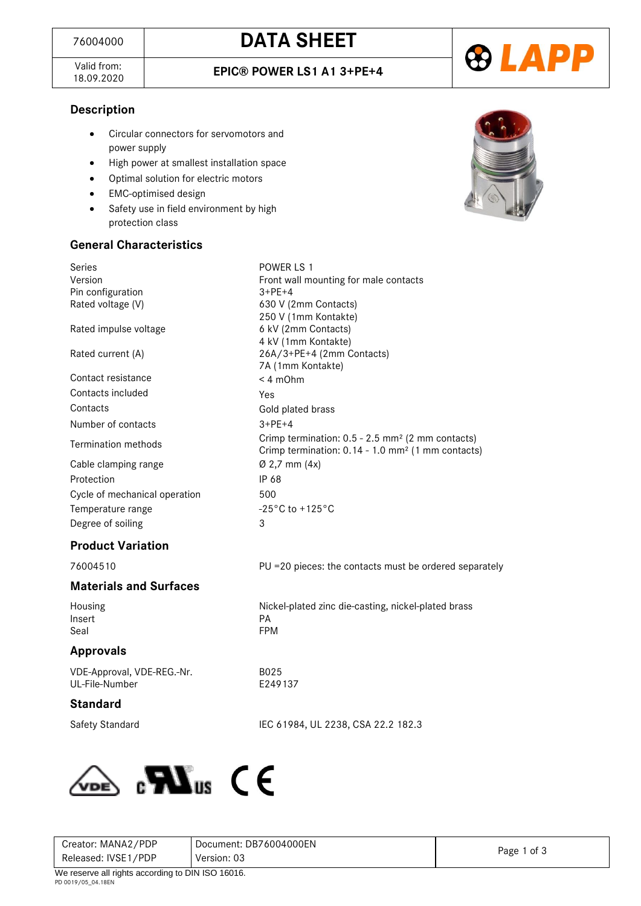Valid from:<br>18.09.2020



### **Description**

- Circular connectors for servomotors and power supply
- High power at smallest installation space
- Optimal solution for electric motors
- EMC-optimised design
- Safety use in field environment by high protection class

#### **General Characteristics**



| Series                        | POWER LS 1                                                                                                                    |  |  |
|-------------------------------|-------------------------------------------------------------------------------------------------------------------------------|--|--|
| Version                       | Front wall mounting for male contacts                                                                                         |  |  |
| Pin configuration             | $3 + PE + 4$                                                                                                                  |  |  |
| Rated voltage (V)             | 630 V (2mm Contacts)                                                                                                          |  |  |
|                               | 250 V (1mm Kontakte)                                                                                                          |  |  |
| Rated impulse voltage         | 6 kV (2mm Contacts)                                                                                                           |  |  |
|                               | 4 kV (1mm Kontakte)                                                                                                           |  |  |
| Rated current (A)             | 26A/3+PE+4 (2mm Contacts)                                                                                                     |  |  |
|                               | 7A (1mm Kontakte)                                                                                                             |  |  |
| Contact resistance            | $< 4$ m $Ohm$                                                                                                                 |  |  |
| Contacts included             | Yes                                                                                                                           |  |  |
| Contacts                      | Gold plated brass                                                                                                             |  |  |
| Number of contacts            | $3+PF+4$                                                                                                                      |  |  |
| Termination methods           | Crimp termination: 0.5 - 2.5 mm <sup>2</sup> (2 mm contacts)<br>Crimp termination: 0.14 - 1.0 mm <sup>2</sup> (1 mm contacts) |  |  |
| Cable clamping range          | $\varnothing$ 2,7 mm (4x)                                                                                                     |  |  |
| Protection                    | IP 68                                                                                                                         |  |  |
| Cycle of mechanical operation | 500                                                                                                                           |  |  |
| Temperature range             | $-25\degree$ C to $+125\degree$ C                                                                                             |  |  |
| Degree of soiling             | 3                                                                                                                             |  |  |
| <b>Product Variation</b>      |                                                                                                                               |  |  |

B025 E249137

76004510 PU =20 pieces: the contacts must be ordered separately

**Materials and Surfaces**

Insert PA Seal **FPM** 

Housing Nickel-plated zinc die-casting, nickel-plated brass

### **Approvals**

VDE-Approval, VDE-REG.-Nr. UL-File-Number

### **Standard**

Safety Standard IEC 61984, UL 2238, CSA 22.2 182.3



| Creator: MANA2/PDP                                     | Document: DB76004000EN |             |  |
|--------------------------------------------------------|------------------------|-------------|--|
| Released: IVSE1/PDP                                    | Version: 03            | Page 1 of 3 |  |
| $M_{\odot}$ resems all rights associated DIN ICO 16016 |                        |             |  |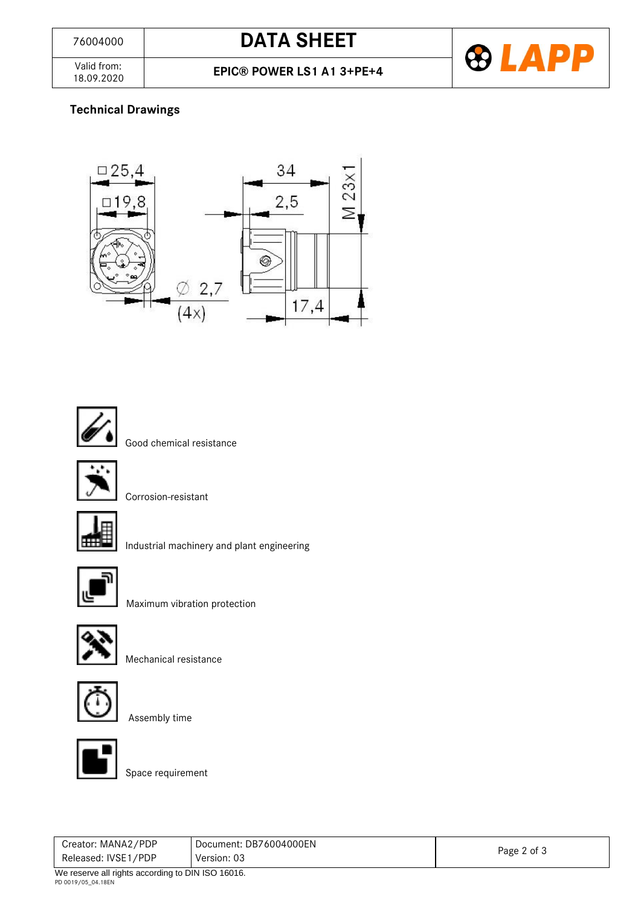## <sup>76004000</sup> **DATA SHEET**



Valid from:<br>18.09.2020

### **Technical Drawings**





Good chemical resistance



Corrosion-resistant



Industrial machinery and plant engineering



Maximum vibration protection



Mechanical resistance





Assembly time

Space requirement

| Creator: MANA2/PDP                                        | Document: DB76004000EN |             |  |
|-----------------------------------------------------------|------------------------|-------------|--|
| Released: IVSE1/PDP                                       | Version: 03            | Page 2 of 3 |  |
| $M_{\odot}$ recense all rights considing to DIN ICO 46046 |                        |             |  |